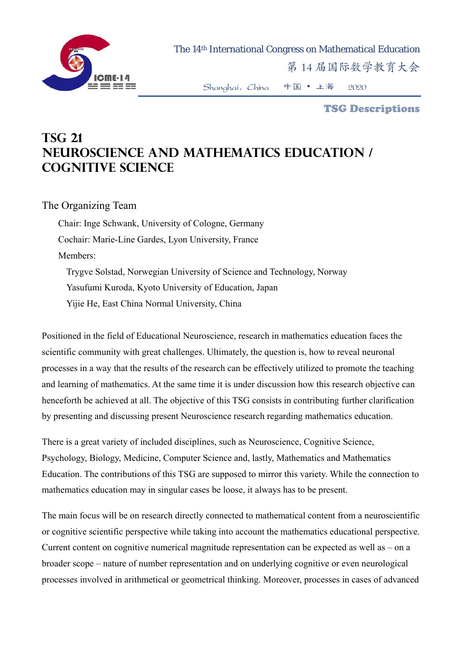

TSG Descriptions

## **TSG 21 Neuroscience and Mathematics Education / Cognitive Science**

## The Organizing Team

Chair: Inge Schwank, University of Cologne, Germany Cochair: Marie-Line Gardes, Lyon University, France Members: Trygve Solstad, Norwegian University of Science and Technology, Norway Yasufumi Kuroda, Kyoto University of Education, Japan

Yijie He, East China Normal University, China

Positioned in the field of Educational Neuroscience, research in mathematics education faces the scientific community with great challenges. Ultimately, the question is, how to reveal neuronal processes in a way that the results of the research can be effectively utilized to promote the teaching and learning of mathematics. At the same time it is under discussion how this research objective can henceforth be achieved at all. The objective of this TSG consists in contributing further clarification by presenting and discussing present Neuroscience research regarding mathematics education.

There is a great variety of included disciplines, such as Neuroscience, Cognitive Science, Psychology, Biology, Medicine, Computer Science and, lastly, Mathematics and Mathematics Education. The contributions of this TSG are supposed to mirror this variety. While the connection to mathematics education may in singular cases be loose, it always has to be present.

The main focus will be on research directly connected to mathematical content from a neuroscientific or cognitive scientific perspective while taking into account the mathematics educational perspective. Current content on cognitive numerical magnitude representation can be expected as well as – on a broader scope – nature of number representation and on underlying cognitive or even neurological processes involved in arithmetical or geometrical thinking. Moreover, processes in cases of advanced